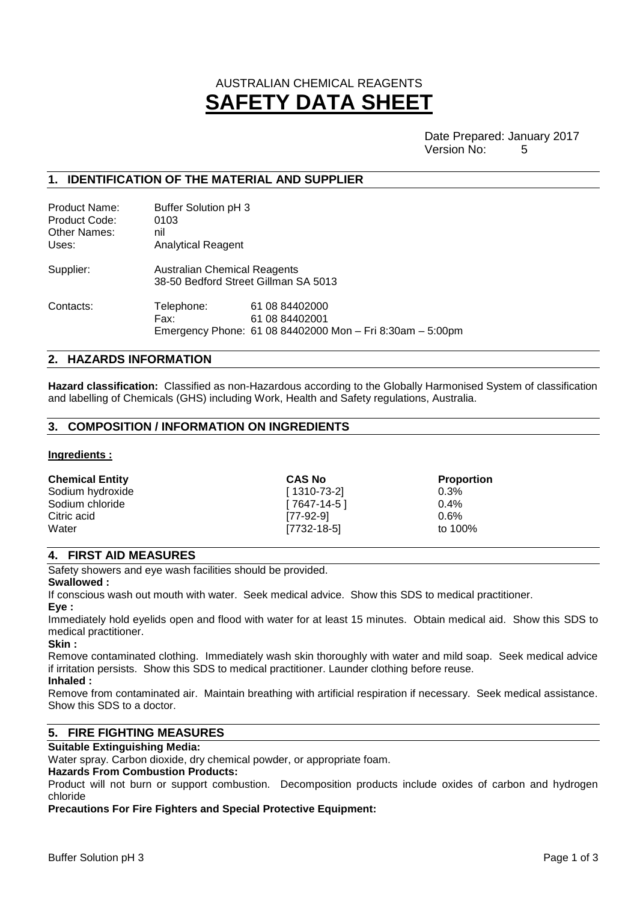# AUSTRALIAN CHEMICAL REAGENTS **SAFETY DATA SHEET**

Date Prepared: January 2017 Version No: 5

# **1. IDENTIFICATION OF THE MATERIAL AND SUPPLIER**

| Product Name:<br>Product Code:<br>Other Names:<br>Uses: | Buffer Solution pH 3<br>0103<br>nil<br>Analytical Reagent                   |                                                                                               |  |
|---------------------------------------------------------|-----------------------------------------------------------------------------|-----------------------------------------------------------------------------------------------|--|
| Supplier:                                               | <b>Australian Chemical Reagents</b><br>38-50 Bedford Street Gillman SA 5013 |                                                                                               |  |
| Contacts:                                               | Telephone:<br>Fax:                                                          | 61 08 84402000<br>61 08 84402001<br>Emergency Phone: 61 08 84402000 Mon - Fri 8:30am - 5:00pm |  |

## **2. HAZARDS INFORMATION**

**Hazard classification:** Classified as non-Hazardous according to the Globally Harmonised System of classification and labelling of Chemicals (GHS) including Work, Health and Safety regulations, Australia.

## **3. COMPOSITION / INFORMATION ON INGREDIENTS**

#### **Ingredients :**

| <b>Chemical Entity</b> | <b>CAS No</b> | <b>Proportion</b> |
|------------------------|---------------|-------------------|
| Sodium hydroxide       | [1310-73-2]   | 0.3%              |
| Sodium chloride        | [ 7647-14-5 ] | $0.4\%$           |
| Citric acid            | [77-92-9]     | $0.6\%$           |
| Water                  | [7732-18-5]   | to 100%           |

# **4. FIRST AID MEASURES**

Safety showers and eye wash facilities should be provided.

#### **Swallowed :**

If conscious wash out mouth with water. Seek medical advice. Show this SDS to medical practitioner. **Eye :**

Immediately hold eyelids open and flood with water for at least 15 minutes. Obtain medical aid. Show this SDS to medical practitioner.

#### **Skin :**

Remove contaminated clothing. Immediately wash skin thoroughly with water and mild soap. Seek medical advice if irritation persists. Show this SDS to medical practitioner. Launder clothing before reuse.

# **Inhaled :**

Remove from contaminated air. Maintain breathing with artificial respiration if necessary. Seek medical assistance. Show this SDS to a doctor.

# **5. FIRE FIGHTING MEASURES**

## **Suitable Extinguishing Media:**

Water spray. Carbon dioxide, dry chemical powder, or appropriate foam.

# **Hazards From Combustion Products:**

Product will not burn or support combustion. Decomposition products include oxides of carbon and hydrogen chloride

#### **Precautions For Fire Fighters and Special Protective Equipment:**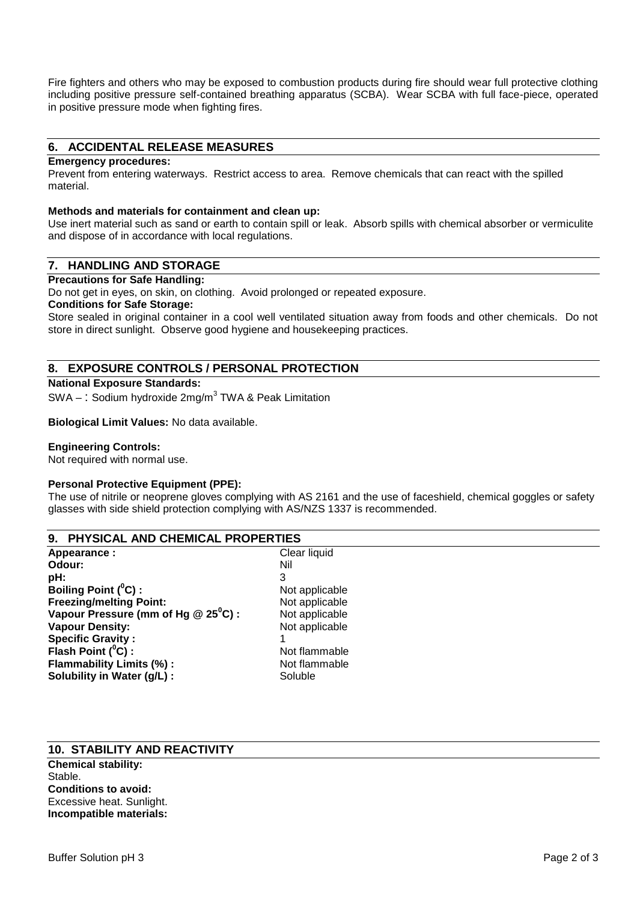Fire fighters and others who may be exposed to combustion products during fire should wear full protective clothing including positive pressure self-contained breathing apparatus (SCBA). Wear SCBA with full face-piece, operated in positive pressure mode when fighting fires.

# **6. ACCIDENTAL RELEASE MEASURES**

#### **Emergency procedures:**

Prevent from entering waterways. Restrict access to area. Remove chemicals that can react with the spilled material.

#### **Methods and materials for containment and clean up:**

Use inert material such as sand or earth to contain spill or leak. Absorb spills with chemical absorber or vermiculite and dispose of in accordance with local regulations.

# **7. HANDLING AND STORAGE**

#### **Precautions for Safe Handling:**

Do not get in eyes, on skin, on clothing. Avoid prolonged or repeated exposure.

## **Conditions for Safe Storage:**

Store sealed in original container in a cool well ventilated situation away from foods and other chemicals. Do not store in direct sunlight. Observe good hygiene and housekeeping practices.

# **8. EXPOSURE CONTROLS / PERSONAL PROTECTION**

## **National Exposure Standards:**

 $\mathsf{SWA}-\mathsf{:} \ \mathsf{S}\mathsf{odium}$  hydroxide 2mg/m $^3$  TWA & Peak Limitation

## **Biological Limit Values:** No data available.

#### **Engineering Controls:**

Not required with normal use.

#### **Personal Protective Equipment (PPE):**

The use of nitrile or neoprene gloves complying with AS 2161 and the use of faceshield, chemical goggles or safety glasses with side shield protection complying with AS/NZS 1337 is recommended.

#### **9. PHYSICAL AND CHEMICAL PROPERTIES**

**Appearance :** Clear liquid<br> **Odour:** Nil Odour:<br>pH: **pH:** 3 **Boiling Point (<sup>0</sup>C) :**<br> **Boiling Point Point:**<br> **Preezing/melting Point:**<br> **Not** applicable **Freezing/melting Point:** Not applicable<br> **Vapour Pressure (mm of Hq @ 25<sup>°</sup>C) :** Not applicable **Vapour Pressure (mm of Hg @ 25<sup>°</sup>C) :** Not applicable<br>**Vapour Density:** Not applicable **Vapour Density: Specific Gravity :** 1 **Flash Point (<sup>0</sup>C) :**<br> **Flammability Limits (%) :** Not flammable Not flammable **Flammability Limits (%): Solubility in Water (g/L) :** Soluble Soluble

# **10. STABILITY AND REACTIVITY**

**Chemical stability:** Stable. **Conditions to avoid:** Excessive heat. Sunlight. **Incompatible materials:**